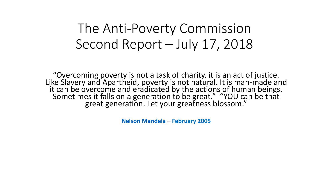#### The Anti-Poverty Commission Second Report – July 17, 2018

"Overcoming poverty is not a task of charity, it is an act of justice. Like Slavery and Apartheid, poverty is not natural. It is man-made and it can be overcome and eradicated by the actions of human beings. Sometimes it falls on a generation to be great." "YOU can be that great generation. Let your greatness blossom."

**[Nelson Mandela](https://www.goodreads.com/author/show/367338.Nelson_Mandela)** – **February 2005**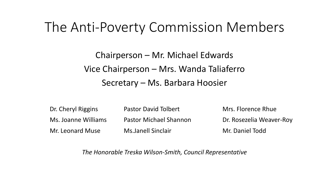#### The Anti-Poverty Commission Members

Chairperson – Mr. Michael Edwards Vice Chairperson – Mrs. Wanda Taliaferro Secretary – Ms. Barbara Hoosier

Dr. Cheryl Riggins **Pastor David Tolbert** Mrs. Florence Rhue Ms. Joanne Williams Pastor Michael Shannon Dr. Rosezelia Weaver-Roy Mr. Leonard Muse Ms.Janell Sinclair Mr. Daniel Todd

*The Honorable Treska Wilson-Smith, Council Representative*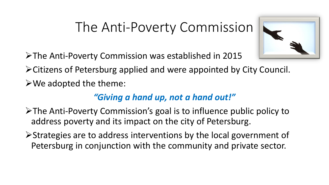➢The Anti-Poverty Commission was established in 2015

➢Citizens of Petersburg applied and were appointed by City Council.

➢We adopted the theme:

#### *"Giving a hand up, not a hand out!"*

- ➢The Anti-Poverty Commission's goal is to influence public policy to address poverty and its impact on the city of Petersburg.
- ➢Strategies are to address interventions by the local government of Petersburg in conjunction with the community and private sector.

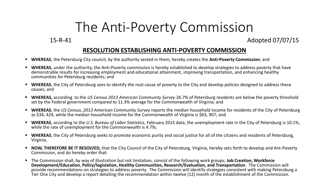15-R-41 Adopted 07/07/15

#### **RESOLUTION ESTABLISHING ANTI-POVERTY COMMISSION**

- **WHEREAS**, the Petersburg City council, by the authority vested in them, hereby creates the **Anti-Poverty Commission**; and
- **EXTHEREAS**, under the authority, the Anti-Poverty commission is hereby established to develop strategies to address poverty that have demonstrable results for increasing employment and educational attainment, improving transportation, and enhancing healthy communities for Petersburg residents; and
- **WHEREAS**, the City of Petersburg sees to identify the root cause of poverty to the City and develop policies designed to address these causes; and
- **WHEREAS,** according to the *US Census 2013 American Community Survey* 26.7% of Petersburg residents are below the poverty threshold set by the Federal government compared to 11.3% average for the Commonwealth of Virginia; and
- **WHEREAS**, the *US Census, 2013 American Community Survey* reports the median household income for residents of the City of Petersburg as \$34, 424, while the median household income for the Commonwealth of Virginia is \$63, 907; and
- **WHEREAS**, according to the *U.S. Bureau of Labor Statistics*, February 2015 data, the unemployment rate in the City of Petersburg is 10.1%, while the rate of unemployment for the Commonwealth is 4.7%;
- **EXTEREAS**, the City of Petersburg seeks to promote economic purity and social justice for all of the citizens and residents of Petersburg, Virginia,
- **EXTERFORE BE IT RESOLVED,** that the City Council of the City of Petersburg, Virginia, hereby sets forth to develop and Ant-Poverty Commission, and do hereby order that:
- The Commission shall, by way of illustration but not limitation, consist of the following work groups; **Job Creation, Workforce Development/Education**, **Policy/legislation, Healthy Communities, Research/Evaluation, and Transportation**. The Commission will provide recommendations on strategies to address poverty. The Commission will identify strategies consistent with making Petersburg a Tier One City and develop a report detailing the recommendation within twelve (12) month of the establishment of the Commission.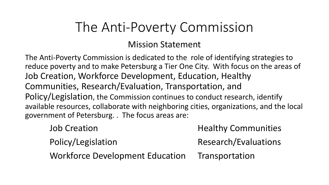Mission Statement

The Anti-Poverty Commission is dedicated to the role of identifying strategies to reduce poverty and to make Petersburg a Tier One City. With focus on the areas of Job Creation, Workforce Development, Education, Healthy Communities, Research/Evaluation, Transportation, and Policy/Legislation, the Commission continues to conduct research, identify available resources, collaborate with neighboring cities, organizations, and the local government of Petersburg. . The focus areas are:

| <b>Job Creation</b>                    | <b>Healthy Communities</b> |
|----------------------------------------|----------------------------|
| Policy/Legislation                     | Research/Evaluations       |
| <b>Workforce Development Education</b> | Transportation             |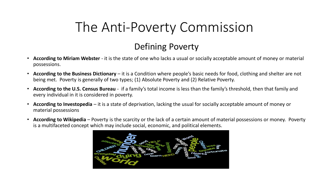#### Defining Poverty

- **According to Miriam Webster** it is the state of one who lacks a usual or socially acceptable amount of money or material possessions.
- **According to the Business Dictionary**  it is a Condition where people's basic needs for food, clothing and shelter are not being met. Poverty is generally of two types; (1) Absolute Poverty and (2) Relative Poverty.
- **According to the U.S. Census Bureau** if a family's total income is less than the family's threshold, then that family and every individual in it is considered in poverty.
- **According to Investopedia**  it is a state of deprivation, lacking the usual for socially acceptable amount of money or material possessions
- **According to Wikipedia**  Poverty is the scarcity or the lack of a certain amount of material possessions or money. Poverty is a multifaceted concept which may include social, economic, and political elements.

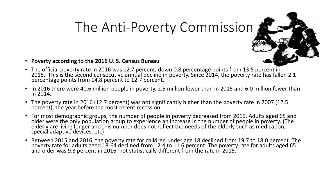

#### • **Poverty according to the 2016 U. S. Census Bureau**

- The official poverty rate in 2016 was 12.7 percent, down 0.8 percentage points from 13.5 percent in 2015. This is the second consecutive annual decline in poverty. Since 2014, the poverty rate has fallen 2.1 percentage points from 14.8 percent to 12.7 percent.
- In 2016 there were 40.6 million people in poverty, 2.5 million fewer than in 2015 and 6.0 million fewer than in 2014.
- The poverty rate in 2016 (12.7 percent) was not significantly higher than the poverty rate in 2007 (12.5 percent), the year before the most recent recession.
- For most demographic groups, the number of people in poverty decreased from 2015. Adults aged 65 and older were the only population group to experience an increase in the number of people in poverty. (The elderly are living longer and this number does not reflect the needs of the elderly such as medication, special adaptive devices, etc)
- Between 2015 and 2016, the poverty rate for children under age 18 declined from 19.7 to 18.0 percent. The poverty rate for adults aged 18-64 declined from 12.4 to 11.6 percent. The poverty rate for adults aged 65 and older was 9.3 percent in 2016, not statistically different from the rate in 2015.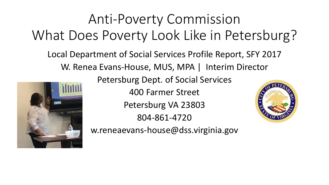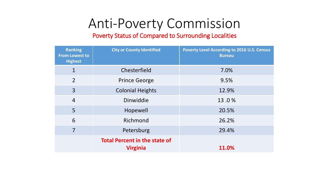#### Poverty Status of Compared to Surrounding Localities

| <b>Ranking</b><br><b>From Lowest to</b><br><b>Highest</b> | <b>City or County Identified</b>                        | <b>Poverty Level According to 2016 U.S. Census</b><br><b>Bureau</b> |
|-----------------------------------------------------------|---------------------------------------------------------|---------------------------------------------------------------------|
| $\mathbf 1$                                               | Chesterfield                                            | 7.0%                                                                |
| $\overline{2}$                                            | <b>Prince George</b>                                    | 9.5%                                                                |
| $\overline{3}$                                            | <b>Colonial Heights</b>                                 | 12.9%                                                               |
| $\overline{4}$                                            | Dinwiddie                                               | 13.0%                                                               |
| 5                                                         | Hopewell                                                | 20.5%                                                               |
| 6                                                         | Richmond                                                | 26.2%                                                               |
| $\overline{7}$                                            | Petersburg                                              | 29.4%                                                               |
|                                                           | <b>Total Percent in the state of</b><br><b>Virginia</b> | 11.0%                                                               |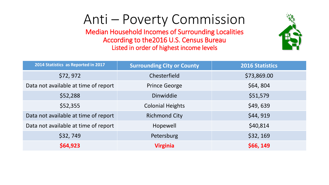Median Household Incomes of Surrounding Localities According to the2016 U.S. Census Bureau Listed in order of highest income levels



| 2014 Statistics as Reported in 2017  | <b>Surrounding City or County</b> | <b>2016 Statistics</b> |  |
|--------------------------------------|-----------------------------------|------------------------|--|
| \$72,972                             | Chesterfield                      | \$73,869.00            |  |
| Data not available at time of report | <b>Prince George</b>              | \$64,804               |  |
| \$52,288                             | Dinwiddie                         | \$51,579               |  |
| \$52,355                             | <b>Colonial Heights</b>           | \$49,639               |  |
| Data not available at time of report | <b>Richmond City</b>              | \$44, 919              |  |
| Data not available at time of report | Hopewell                          | \$40,814               |  |
| \$32,749                             | Petersburg                        | \$32, 169              |  |
| \$64,923                             | <b>Virginia</b>                   | \$66, 149              |  |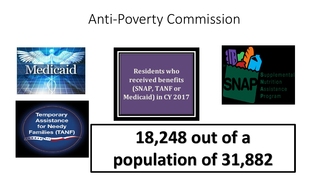

**Temporary Assistance** for Needy **Families (TANF)**  $\begin{array}{c} \textbf{1} & \textbf{1} & \textbf{1} & \textbf{1} & \textbf{1} & \textbf{1} & \textbf{1} \\ \textbf{1} & \textbf{1} & \textbf{1} & \textbf{1} & \textbf{1} & \textbf{1} & \textbf{1} \\ \textbf{1} & \textbf{1} & \textbf{1} & \textbf{1} & \textbf{1} & \textbf{1} & \textbf{1} \\ \textbf{1} & \textbf{1} & \textbf{1} & \textbf{1} & \textbf{1} & \textbf{1} & \textbf{1} \\ \textbf{1} & \textbf{1} & \textbf$ 

**Residents who received benefits (SNAP, TANF or Medicaid) in CY 2017**



# **18,248 out of a population of 31,882**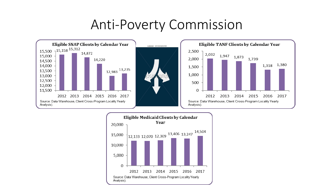

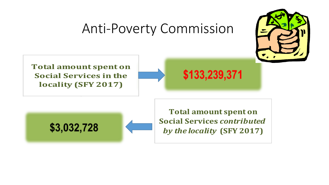

**Total amount spent on Social Services in the locality (SFY 2017)**





**Total amount spent on Social Services** *contributed by the locality* **(SFY 2017)**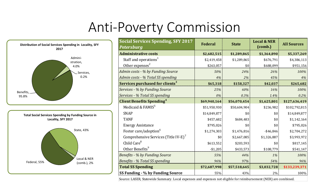

| <b>Social Services Spending, SFY 2017</b><br><b>Petersburg</b> | <b>Federal</b> | <b>State</b> | <b>Local &amp; NER</b><br>(comb.) | <b>All Sources</b> |
|----------------------------------------------------------------|----------------|--------------|-----------------------------------|--------------------|
| <b>Administrative costs</b>                                    | \$2,682,515    | \$1,289,865  | \$1,364,890                       | \$5,337,269        |
| Staff and operations <sup>1</sup>                              | \$2,419,458    | \$1,289,865  | \$676,791                         | \$4,386,113        |
| Other expenses $2$                                             | \$263,057      | \$0          | \$688,099                         | \$951,156          |
| Admin costs - % by Funding Source                              | 50%            | 24%          | 26%                               | 100%               |
| Admin costs - % Total SS spending                              | 4%             | 2%           | 45%                               | 4%                 |
| Services purchased for clients <sup>3</sup>                    | \$65,318]      | \$158,327    | \$42,037                          | \$265,682          |
| Services - % by Funding Source                                 | 25%            | 60%          | 16%                               | 100%               |
| Services - % Total SS spending                                 | 0%             | 0.3%         | 1.4%                              | 0.2%               |
| <b>Client Benefits Spending<sup>4</sup></b>                    | \$69,940,164   | \$56,070,454 | \$1,625,801                       | \$127,636,419      |
| Medicaid & FAMIS <sup>5</sup>                                  | \$51,950,930   | \$50,604,904 | \$236,982                         | \$102,792,815      |
| <b>SNAP</b>                                                    | \$14,849,877   | \$0          | \$0                               | \$14,849,877       |
| <b>TANF</b>                                                    | \$457,682      | \$684,483    | \$0                               | \$1,142,164        |
| <b>Energy Assistance</b>                                       | \$795,026      | \$0          | \$0                               | \$795,026          |
| Foster care/adoption <sup>6</sup>                              | \$1,274,303    | \$1,476,816  | $-$ \$46,846                      | \$2,704,272        |
| Comprehensive Services (Title IV-E) <sup>7</sup>               | \$0            | \$2,667,085  | \$1,326,887                       | \$3,993,972        |
| Child Care <sup>8</sup>                                        | \$613,552      | \$203,593    | \$0                               | \$817,145          |
| Other Benefits <sup>9</sup>                                    | $-$1,205$      | \$433,573    | \$108,779                         | \$541,147          |
| <b>Benefits - % by Funding Source</b>                          | 55%            | 44%          | 1%                                | 100%               |
| <b>Benefits - % Total SS spending</b>                          | 96%            | 97%          | 54%                               | 96%                |
| <b>Total SS Spending</b>                                       | \$72,687,998   | \$57,518,645 | \$3,032,728                       | \$133,239,371      |
| SS Funding - % by Funding Source                               | 55%            | 43%          | 2%                                | 100%               |

Source: LASER, Statewide Summary. Local expenses and expenses not eligible for reimbursement (NER) are combined.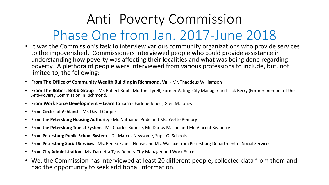# Anti- Poverty Commission Phase One from Jan. 2017-June 2018

- It was the Commission's task to interview various community organizations who provide services to the impoverished. Commissioners interviewed people who could provide assistance in understanding how poverty was affecting their localities and what was being done regarding poverty. A plethora of people were interviewed from various professions to include, but, not limited to, the following:
- **From The Office of Community Wealth Building in Richmond, Va.** Mr. Thaddeus Williamson
- **From The Robert Bobb Group**  Mr. Robert Bobb, Mr. Tom Tyrell, Former Acting City Manager and Jack Berry (Former member of the Anti-Poverty Commission in Richmond.
- **From Work Force Development – Learn to Earn**  Earlene Jones , Glen M. Jones
- **From Circles of Ashland**  Mr. David Cooper
- **From the Petersburg Housing Authority**  Mr. Nathaniel Pride and Ms. Yvette Bembry
- **From the Petersburg Transit System**  Mr. Charles Koonce, Mr. Darius Mason and Mr. Vincent Seaberry
- **From Petersburg Public School System**  Dr. Marcus Newsome, Supt. Of Schools
- **From Petersburg Social Services -** Ms. Renea Evans- House and Ms. Wallace from Petersburg Department of Social Services
- **From City Administration**  Ms. Darnetta Tyus Deputy City Manager and Work Force
- We, the Commission has interviewed at least 20 different people, collected data from them and had the opportunity to seek additional information.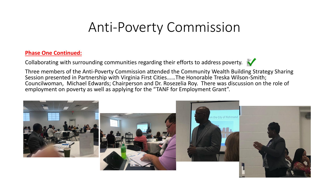#### **Phase One Continued:**

Collaborating with surrounding communities regarding their efforts to address poverty.



Three members of the Anti-Poverty Commission attended the Community Wealth Building Strategy Sharing Session presented in Partnership with Virginia First Cities……The Honorable Treska Wilson-Smith; Councilwoman, Michael Edwards; Chairperson and Dr. Rosezelia Roy. There was discussion on the role of employment on poverty as well as applying for the "TANF for Employment Grant".

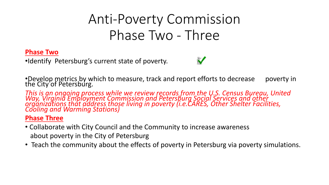# Anti-Poverty Commission Phase Two - Three

#### **Phase Two**

•Identify Petersburg's current state of poverty.

•Develop metrics by which to measure, track and report efforts to decrease poverty in the City of Petersburg.

*This is an ongoing process while we review records from the U.S. Census Bureau, United*  Way, Virginia Employment Commission and Petersburg Social Services and other *organizations that address those living in poverty (i.e.CARES, Other Shelter Facilities, Cooling and Warming Stations)*

#### **Phase Three**

- Collaborate with City Council and the Community to increase awareness about poverty in the City of Petersburg
- Teach the community about the effects of poverty in Petersburg via poverty simulations.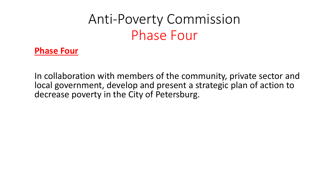### Anti-Poverty Commission Phase Four



In collaboration with members of the community, private sector and local government, develop and present a strategic plan of action to decrease poverty in the City of Petersburg.